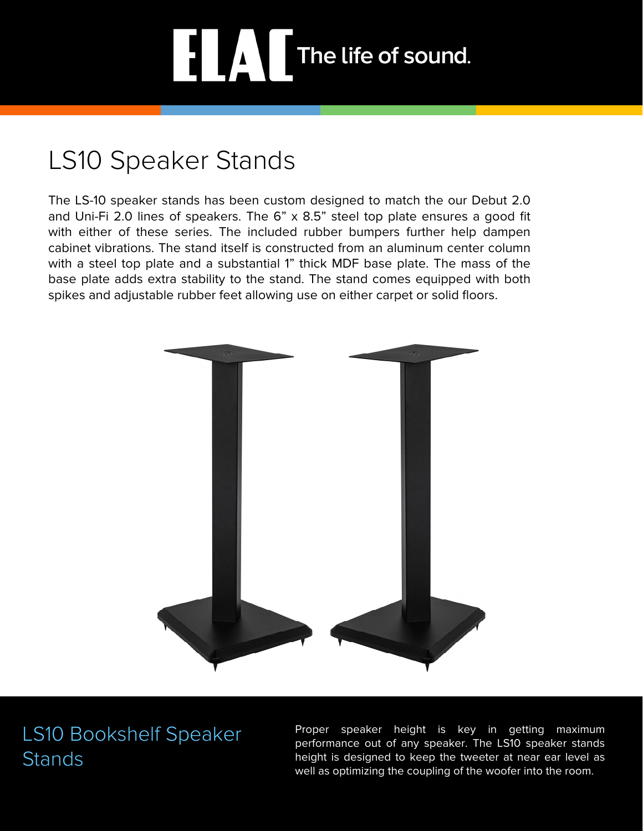# The life of sound.

# LS10 Speaker Stands

The LS-10 speaker stands has been custom designed to match the our Debut 2.0 and Uni-Fi 2.0 lines of speakers. The 6" x 8.5" steel top plate ensures a good fit with either of these series. The included rubber bumpers further help dampen cabinet vibrations. The stand itself is constructed from an aluminum center column with a steel top plate and a substantial 1" thick MDF base plate. The mass of the base plate adds extra stability to the stand. The stand comes equipped with both spikes and adjustable rubber feet allowing use on either carpet or solid floors.



### LS10 Bookshelf Speaker **Stands**

Proper speaker height is key in getting maximum performance out of any speaker. The LS10 speaker stands height is designed to keep the tweeter at near ear level as well as optimizing the coupling of the woofer into the room.